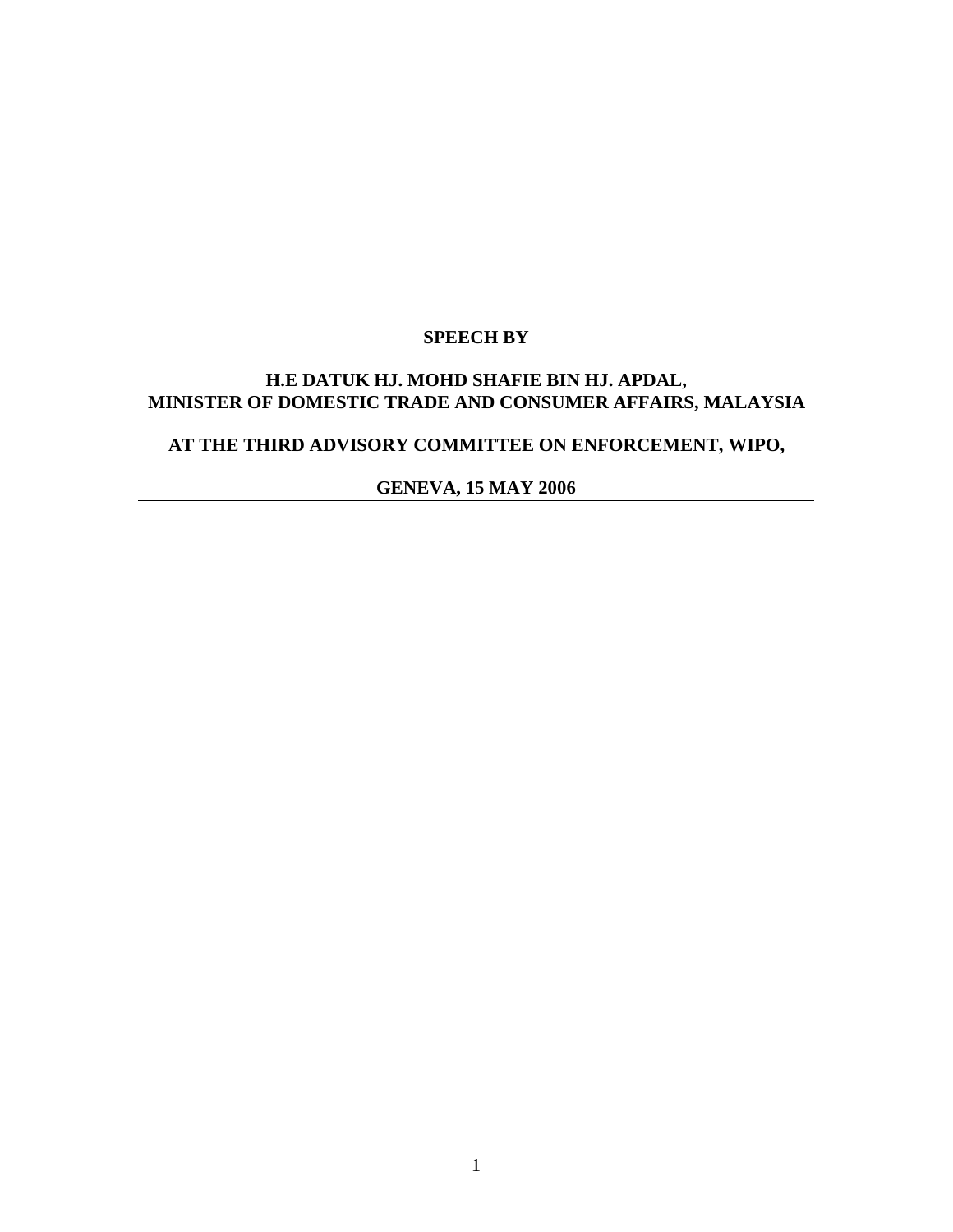# **SPEECH BY**

#### **H.E DATUK HJ. MOHD SHAFIE BIN HJ. APDAL, MINISTER OF DOMESTIC TRADE AND CONSUMER AFFAIRS, MALAYSIA**

# **AT THE THIRD ADVISORY COMMITTEE ON ENFORCEMENT, WIPO,**

**GENEVA, 15 MAY 2006**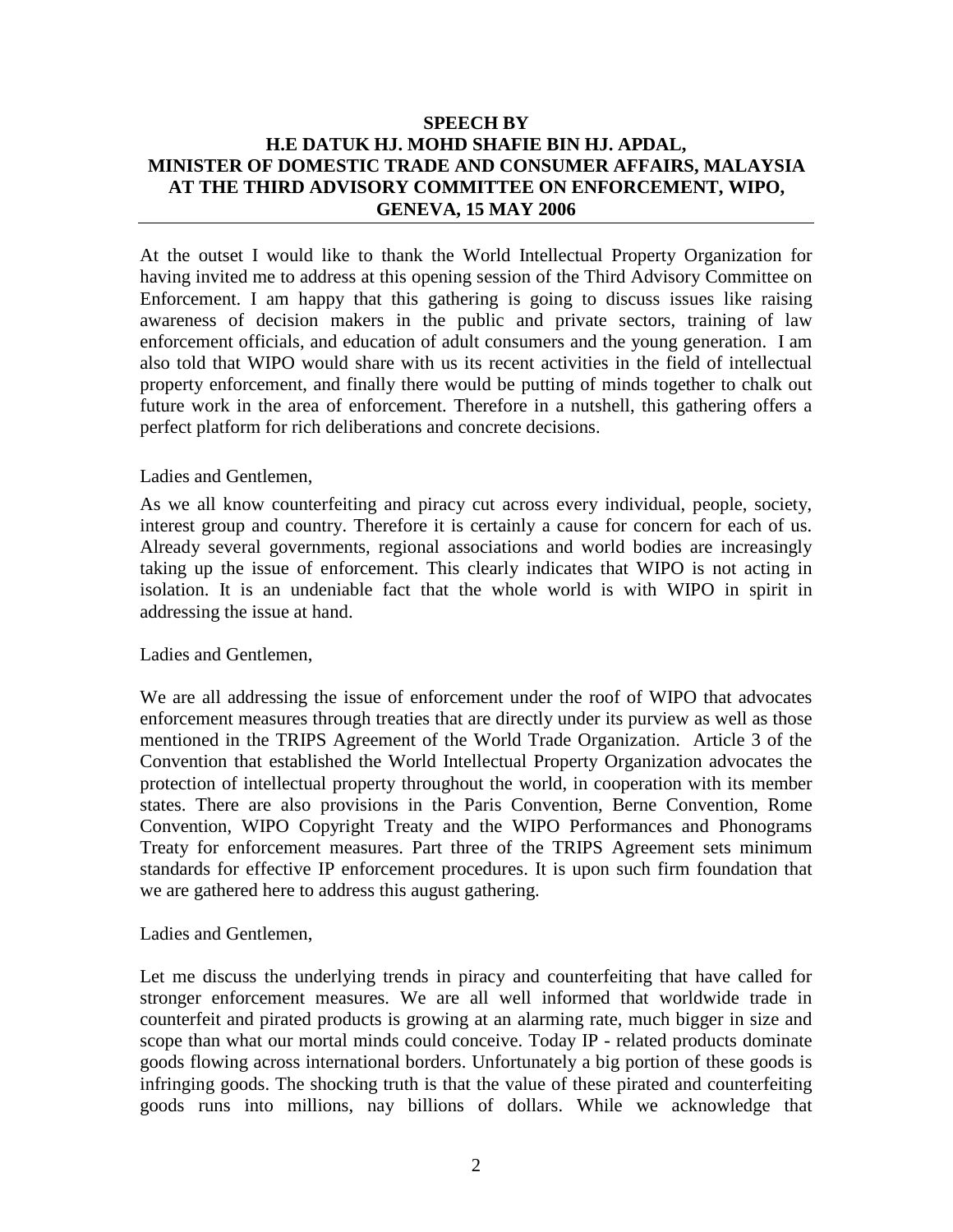## **SPEECH BY H.E DATUK HJ. MOHD SHAFIE BIN HJ. APDAL, MINISTER OF DOMESTIC TRADE AND CONSUMER AFFAIRS, MALAYSIA AT THE THIRD ADVISORY COMMITTEE ON ENFORCEMENT, WIPO, GENEVA, 15 MAY 2006**

At the outset I would like to thank the World Intellectual Property Organization for having invited me to address at this opening session of the Third Advisory Committee on Enforcement. I am happy that this gathering is going to discuss issues like raising awareness of decision makers in the public and private sectors, training of law enforcement officials, and education of adult consumers and the young generation. I am also told that WIPO would share with us its recent activities in the field of intellectual property enforcement, and finally there would be putting of minds together to chalk out future work in the area of enforcement. Therefore in a nutshell, this gathering offers a perfect platform for rich deliberations and concrete decisions.

#### Ladies and Gentlemen,

As we all know counterfeiting and piracy cut across every individual, people, society, interest group and country. Therefore it is certainly a cause for concern for each of us. Already several governments, regional associations and world bodies are increasingly taking up the issue of enforcement. This clearly indicates that WIPO is not acting in isolation. It is an undeniable fact that the whole world is with WIPO in spirit in addressing the issue at hand.

#### Ladies and Gentlemen,

We are all addressing the issue of enforcement under the roof of WIPO that advocates enforcement measures through treaties that are directly under its purview as well as those mentioned in the TRIPS Agreement of the World Trade Organization. Article 3 of the Convention that established the World Intellectual Property Organization advocates the protection of intellectual property throughout the world, in cooperation with its member states. There are also provisions in the Paris Convention, Berne Convention, Rome Convention, WIPO Copyright Treaty and the WIPO Performances and Phonograms Treaty for enforcement measures. Part three of the TRIPS Agreement sets minimum standards for effective IP enforcement procedures. It is upon such firm foundation that we are gathered here to address this august gathering.

#### Ladies and Gentlemen,

Let me discuss the underlying trends in piracy and counterfeiting that have called for stronger enforcement measures. We are all well informed that worldwide trade in counterfeit and pirated products is growing at an alarming rate, much bigger in size and scope than what our mortal minds could conceive. Today IP - related products dominate goods flowing across international borders. Unfortunately a big portion of these goods is infringing goods. The shocking truth is that the value of these pirated and counterfeiting goods runs into millions, nay billions of dollars. While we acknowledge that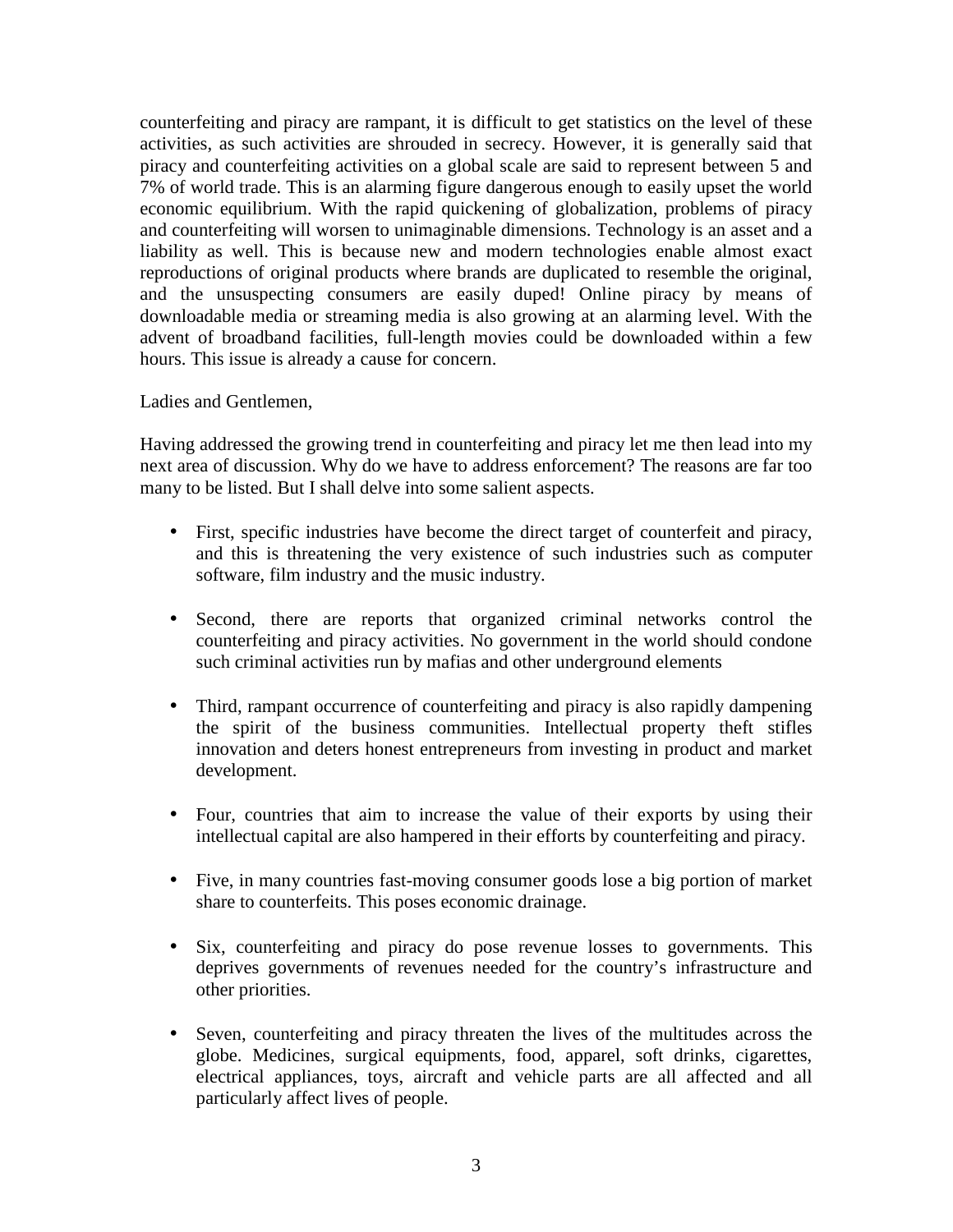counterfeiting and piracy are rampant, it is difficult to get statistics on the level of these activities, as such activities are shrouded in secrecy. However, it is generally said that piracy and counterfeiting activities on a global scale are said to represent between 5 and 7% of world trade. This is an alarming figure dangerous enough to easily upset the world economic equilibrium. With the rapid quickening of globalization, problems of piracy and counterfeiting will worsen to unimaginable dimensions. Technology is an asset and a liability as well. This is because new and modern technologies enable almost exact reproductions of original products where brands are duplicated to resemble the original, and the unsuspecting consumers are easily duped! Online piracy by means of downloadable media or streaming media is also growing at an alarming level. With the advent of broadband facilities, full-length movies could be downloaded within a few hours. This issue is already a cause for concern.

Ladies and Gentlemen,

Having addressed the growing trend in counterfeiting and piracy let me then lead into my next area of discussion. Why do we have to address enforcement? The reasons are far too many to be listed. But I shall delve into some salient aspects.

- First, specific industries have become the direct target of counterfeit and piracy, and this is threatening the very existence of such industries such as computer software, film industry and the music industry.
- Second, there are reports that organized criminal networks control the counterfeiting and piracy activities. No government in the world should condone such criminal activities run by mafias and other underground elements
- Third, rampant occurrence of counterfeiting and piracy is also rapidly dampening the spirit of the business communities. Intellectual property theft stifles innovation and deters honest entrepreneurs from investing in product and market development.
- Four, countries that aim to increase the value of their exports by using their intellectual capital are also hampered in their efforts by counterfeiting and piracy.
- Five, in many countries fast-moving consumer goods lose a big portion of market share to counterfeits. This poses economic drainage.
- Six, counterfeiting and piracy do pose revenue losses to governments. This deprives governments of revenues needed for the country's infrastructure and other priorities.
- Seven, counterfeiting and piracy threaten the lives of the multitudes across the globe. Medicines, surgical equipments, food, apparel, soft drinks, cigarettes, electrical appliances, toys, aircraft and vehicle parts are all affected and all particularly affect lives of people.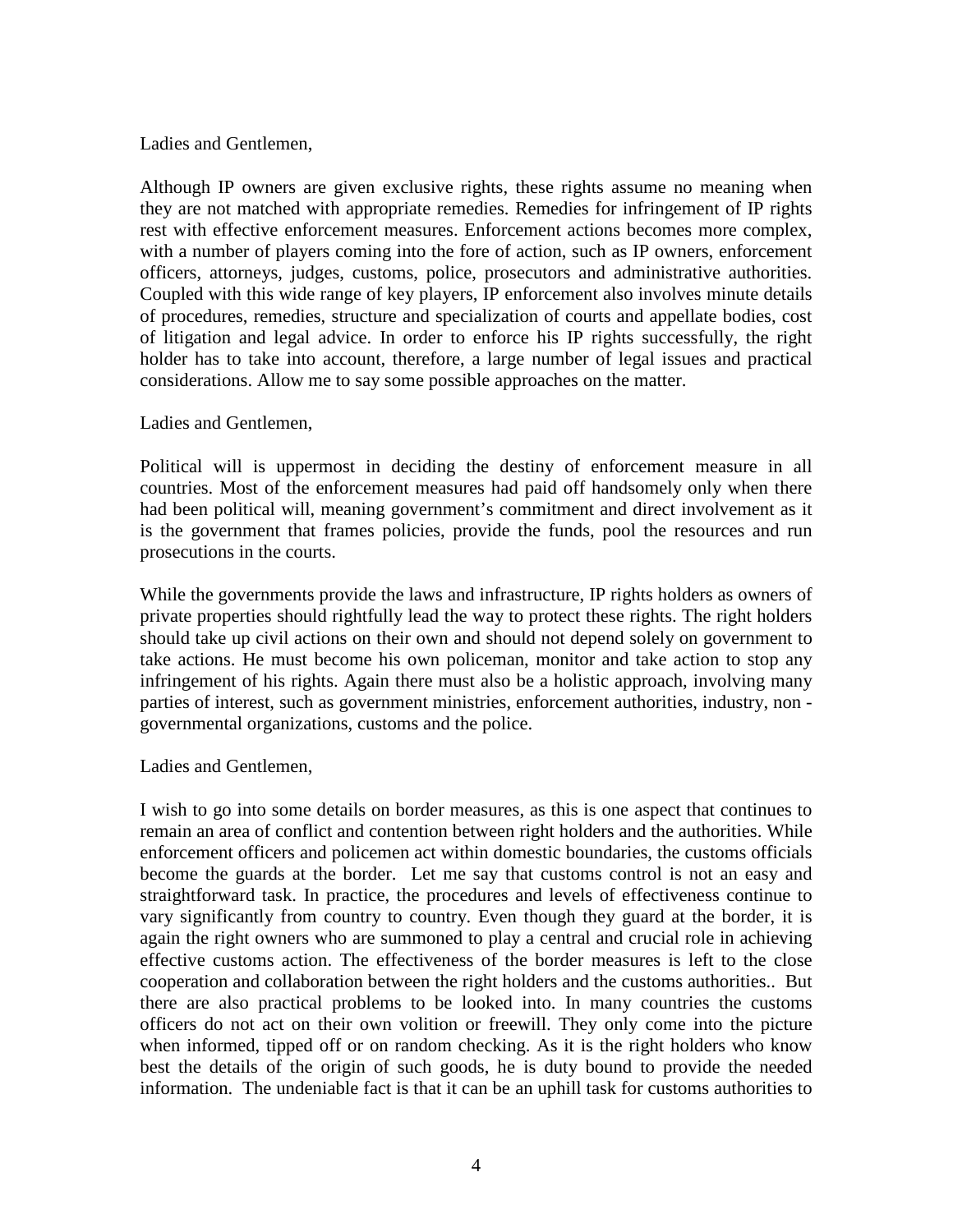#### Ladies and Gentlemen,

Although IP owners are given exclusive rights, these rights assume no meaning when they are not matched with appropriate remedies. Remedies for infringement of IP rights rest with effective enforcement measures. Enforcement actions becomes more complex, with a number of players coming into the fore of action, such as IP owners, enforcement officers, attorneys, judges, customs, police, prosecutors and administrative authorities. Coupled with this wide range of key players, IP enforcement also involves minute details of procedures, remedies, structure and specialization of courts and appellate bodies, cost of litigation and legal advice. In order to enforce his IP rights successfully, the right holder has to take into account, therefore, a large number of legal issues and practical considerations. Allow me to say some possible approaches on the matter.

#### Ladies and Gentlemen,

Political will is uppermost in deciding the destiny of enforcement measure in all countries. Most of the enforcement measures had paid off handsomely only when there had been political will, meaning government's commitment and direct involvement as it is the government that frames policies, provide the funds, pool the resources and run prosecutions in the courts.

While the governments provide the laws and infrastructure, IP rights holders as owners of private properties should rightfully lead the way to protect these rights. The right holders should take up civil actions on their own and should not depend solely on government to take actions. He must become his own policeman, monitor and take action to stop any infringement of his rights. Again there must also be a holistic approach, involving many parties of interest, such as government ministries, enforcement authorities, industry, non governmental organizations, customs and the police.

#### Ladies and Gentlemen,

I wish to go into some details on border measures, as this is one aspect that continues to remain an area of conflict and contention between right holders and the authorities. While enforcement officers and policemen act within domestic boundaries, the customs officials become the guards at the border. Let me say that customs control is not an easy and straightforward task. In practice, the procedures and levels of effectiveness continue to vary significantly from country to country. Even though they guard at the border, it is again the right owners who are summoned to play a central and crucial role in achieving effective customs action. The effectiveness of the border measures is left to the close cooperation and collaboration between the right holders and the customs authorities.. But there are also practical problems to be looked into. In many countries the customs officers do not act on their own volition or freewill. They only come into the picture when informed, tipped off or on random checking. As it is the right holders who know best the details of the origin of such goods, he is duty bound to provide the needed information. The undeniable fact is that it can be an uphill task for customs authorities to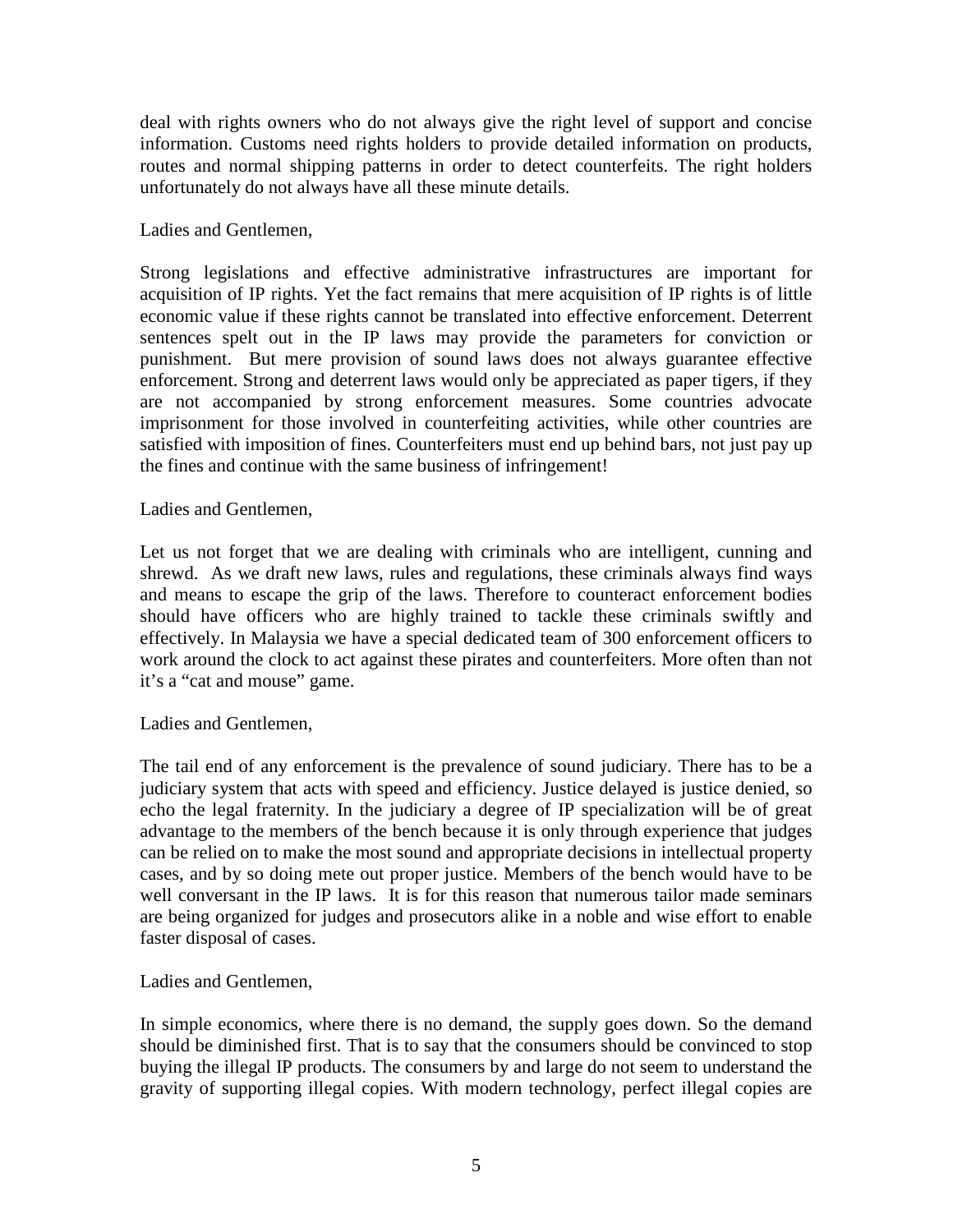deal with rights owners who do not always give the right level of support and concise information. Customs need rights holders to provide detailed information on products, routes and normal shipping patterns in order to detect counterfeits. The right holders unfortunately do not always have all these minute details.

## Ladies and Gentlemen,

Strong legislations and effective administrative infrastructures are important for acquisition of IP rights. Yet the fact remains that mere acquisition of IP rights is of little economic value if these rights cannot be translated into effective enforcement. Deterrent sentences spelt out in the IP laws may provide the parameters for conviction or punishment. But mere provision of sound laws does not always guarantee effective enforcement. Strong and deterrent laws would only be appreciated as paper tigers, if they are not accompanied by strong enforcement measures. Some countries advocate imprisonment for those involved in counterfeiting activities, while other countries are satisfied with imposition of fines. Counterfeiters must end up behind bars, not just pay up the fines and continue with the same business of infringement!

#### Ladies and Gentlemen,

Let us not forget that we are dealing with criminals who are intelligent, cunning and shrewd. As we draft new laws, rules and regulations, these criminals always find ways and means to escape the grip of the laws. Therefore to counteract enforcement bodies should have officers who are highly trained to tackle these criminals swiftly and effectively. In Malaysia we have a special dedicated team of 300 enforcement officers to work around the clock to act against these pirates and counterfeiters. More often than not it's a "cat and mouse" game.

#### Ladies and Gentlemen,

The tail end of any enforcement is the prevalence of sound judiciary. There has to be a judiciary system that acts with speed and efficiency. Justice delayed is justice denied, so echo the legal fraternity. In the judiciary a degree of IP specialization will be of great advantage to the members of the bench because it is only through experience that judges can be relied on to make the most sound and appropriate decisions in intellectual property cases, and by so doing mete out proper justice. Members of the bench would have to be well conversant in the IP laws. It is for this reason that numerous tailor made seminars are being organized for judges and prosecutors alike in a noble and wise effort to enable faster disposal of cases.

#### Ladies and Gentlemen,

In simple economics, where there is no demand, the supply goes down. So the demand should be diminished first. That is to say that the consumers should be convinced to stop buying the illegal IP products. The consumers by and large do not seem to understand the gravity of supporting illegal copies. With modern technology, perfect illegal copies are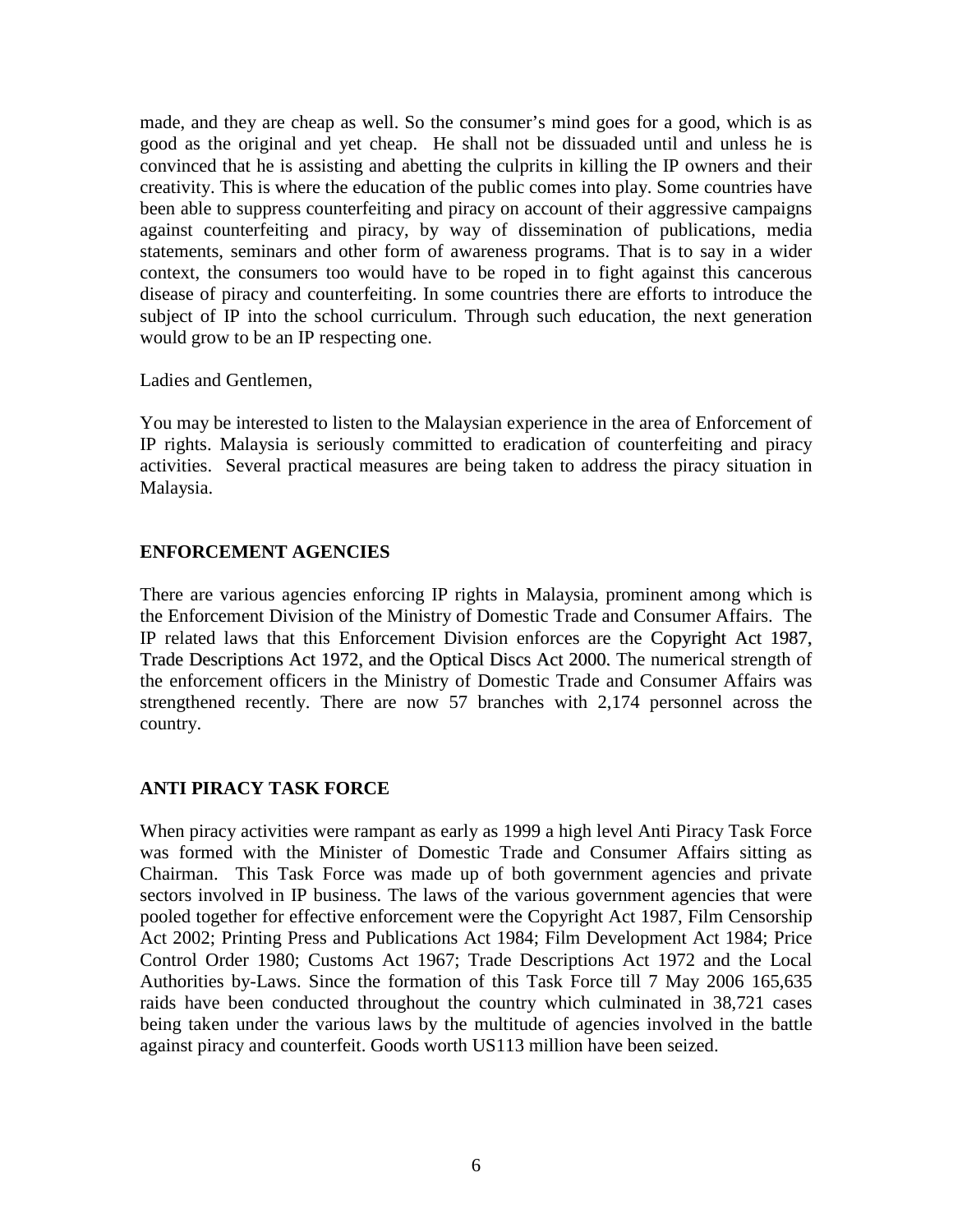made, and they are cheap as well. So the consumer's mind goes for a good, which is as good as the original and yet cheap. He shall not be dissuaded until and unless he is convinced that he is assisting and abetting the culprits in killing the IP owners and their creativity. This is where the education of the public comes into play. Some countries have been able to suppress counterfeiting and piracy on account of their aggressive campaigns against counterfeiting and piracy, by way of dissemination of publications, media statements, seminars and other form of awareness programs. That is to say in a wider context, the consumers too would have to be roped in to fight against this cancerous disease of piracy and counterfeiting. In some countries there are efforts to introduce the subject of IP into the school curriculum. Through such education, the next generation would grow to be an IP respecting one.

Ladies and Gentlemen,

You may be interested to listen to the Malaysian experience in the area of Enforcement of IP rights. Malaysia is seriously committed to eradication of counterfeiting and piracy activities. Several practical measures are being taken to address the piracy situation in Malaysia.

## **ENFORCEMENT AGENCIES**

There are various agencies enforcing IP rights in Malaysia, prominent among which is the Enforcement Division of the Ministry of Domestic Trade and Consumer Affairs. The IP related laws that this Enforcement Division enforces are the Copyright Act 1987, Trade Descriptions Act 1972, and the Optical Discs Act 2000. The numerical strength of the enforcement officers in the Ministry of Domestic Trade and Consumer Affairs was strengthened recently. There are now 57 branches with 2,174 personnel across the country.

## **ANTI PIRACY TASK FORCE**

When piracy activities were rampant as early as 1999 a high level Anti Piracy Task Force was formed with the Minister of Domestic Trade and Consumer Affairs sitting as Chairman. This Task Force was made up of both government agencies and private sectors involved in IP business. The laws of the various government agencies that were pooled together for effective enforcement were the Copyright Act 1987, Film Censorship Act 2002; Printing Press and Publications Act 1984; Film Development Act 1984; Price Control Order 1980; Customs Act 1967; Trade Descriptions Act 1972 and the Local Authorities by-Laws. Since the formation of this Task Force till 7 May 2006 165,635 raids have been conducted throughout the country which culminated in 38,721 cases being taken under the various laws by the multitude of agencies involved in the battle against piracy and counterfeit. Goods worth US113 million have been seized.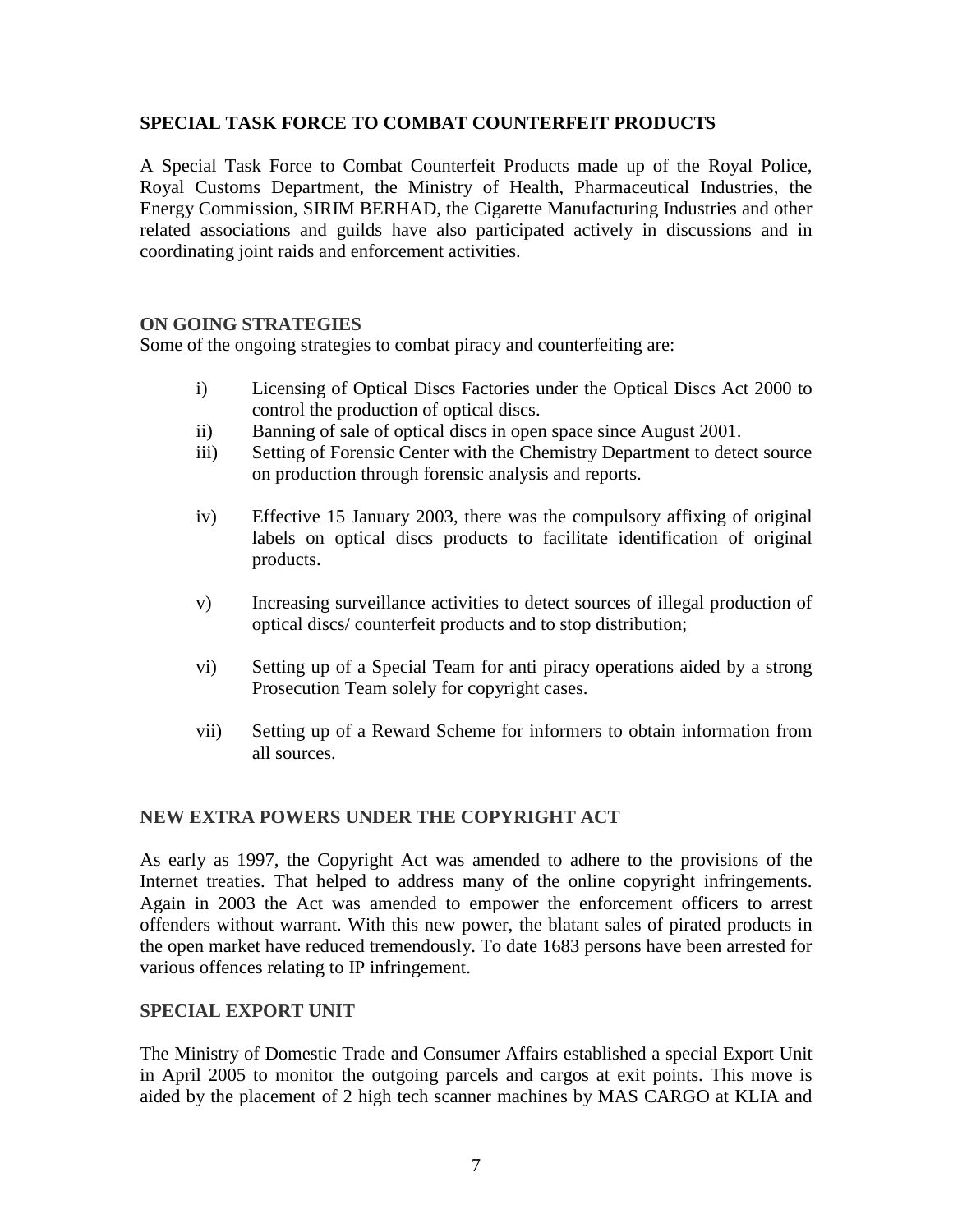## **SPECIAL TASK FORCE TO COMBAT COUNTERFEIT PRODUCTS**

A Special Task Force to Combat Counterfeit Products made up of the Royal Police, Royal Customs Department, the Ministry of Health, Pharmaceutical Industries, the Energy Commission, SIRIM BERHAD, the Cigarette Manufacturing Industries and other related associations and guilds have also participated actively in discussions and in coordinating joint raids and enforcement activities.

#### **ON GOING STRATEGIES**

Some of the ongoing strategies to combat piracy and counterfeiting are:

- i) Licensing of Optical Discs Factories under the Optical Discs Act 2000 to control the production of optical discs.
- ii) Banning of sale of optical discs in open space since August 2001.
- iii) Setting of Forensic Center with the Chemistry Department to detect source on production through forensic analysis and reports.
- iv) Effective 15 January 2003, there was the compulsory affixing of original labels on optical discs products to facilitate identification of original products.
- v) Increasing surveillance activities to detect sources of illegal production of optical discs/ counterfeit products and to stop distribution;
- vi) Setting up of a Special Team for anti piracy operations aided by a strong Prosecution Team solely for copyright cases.
- vii) Setting up of a Reward Scheme for informers to obtain information from all sources.

#### **NEW EXTRA POWERS UNDER THE COPYRIGHT ACT**

As early as 1997, the Copyright Act was amended to adhere to the provisions of the Internet treaties. That helped to address many of the online copyright infringements. Again in 2003 the Act was amended to empower the enforcement officers to arrest offenders without warrant. With this new power, the blatant sales of pirated products in the open market have reduced tremendously. To date 1683 persons have been arrested for various offences relating to IP infringement.

#### **SPECIAL EXPORT UNIT**

The Ministry of Domestic Trade and Consumer Affairs established a special Export Unit in April 2005 to monitor the outgoing parcels and cargos at exit points. This move is aided by the placement of 2 high tech scanner machines by MAS CARGO at KLIA and